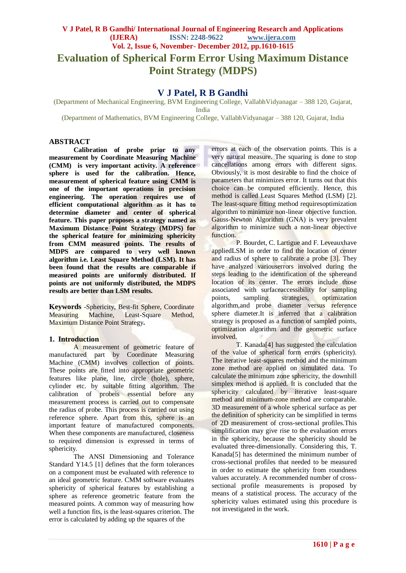# **V J Patel, R B Gandhi/ International Journal of Engineering Research and Applications (IJERA) ISSN: 2248-9622 www.ijera.com Vol. 2, Issue 6, November- December 2012, pp.1610-1615 Evaluation of Spherical Form Error Using Maximum Distance Point Strategy (MDPS)**

# **V J Patel, R B Gandhi**

(Department of Mechanical Engineering, BVM Engineering College, VallabhVidyanagar – 388 120, Gujarat, India

(Department of Mathematics, BVM Engineering College, VallabhVidyanagar – 388 120, Gujarat, India

# **ABSTRACT**

**Calibration of probe prior to any measurement by Coordinate Measuring Machine (CMM) is very important activity. A reference sphere is used for the calibration. Hence, measurement of spherical feature using CMM is one of the important operations in precision engineering. The operation requires use of efficient computational algorithm as it has to determine diameter and center of spherical feature. This paper proposes a strategy named as Maximum Distance Point Strategy (MDPS) for the spherical feature for minimizing sphericity from CMM measured points. The results of MDPS are compared to very well known algorithm i.e. Least Square Method (LSM). It has been found that the results are comparable if measured points are uniformly distributed. If points are not uniformly distributed, the MDPS results are better than LSM results.**

**Keywords** *-*Sphericity, Best-fit Sphere, Coordinate Measuring Machine, Least-Square Method, Maximum Distance Point Strategy**.**

# **1. Introduction**

A measurement of geometric feature of manufactured part by Coordinate Measuring Machine (CMM) involves collection of points. These points are fitted into appropriate geometric features like plane, line, circle (hole), sphere, cylinder etc. by suitable fitting algorithm. The calibration of probeis essential before any measurement process is carried out to compensate the radius of probe. This process is carried out using reference sphere. Apart from this, sphere is an important feature of manufactured components. When these components are manufactured, closeness to required dimension is expressed in terms of sphericity.

The ANSI Dimensioning and Tolerance Standard Y14.5 [1] defines that the form tolerances on a component must be evaluated with reference to an ideal geometric feature. CMM software evaluates sphericity of spherical features by establishing a sphere as reference geometric feature from the measured points. A common way of measuring how well a function fits, is the least-squares criterion. The error is calculated by adding up the squares of the

errors at each of the observation points. This is a very natural measure. The squaring is done to stop cancellations among errors with different signs. Obviously, it is most desirable to find the choice of parameters that minimizes error. It turns out that this choice can be computed efficiently. Hence, this method is called Least Squares Method (LSM) [2]. The least-square fitting method requiresoptimization algorithm to minimize non-linear objective function. Gauss-Newton Algorithm (GNA) is very prevalent algorithm to minimize such a non-linear objective function.

P. Bourdet, C. Lartigue and F. Leveauxhave appliedLSM in order to find the location of center and radius of sphere to calibrate a probe [3]. They have analyzed various errors involved during the steps leading to the identification of the sphereand location of its center. The errors include those associated with surfaceaccessibility for sampling points, sampling strategies, optimization algorithm,and probe diameter versus reference sphere diameter.It is inferred that a calibration strategy is proposed as a function of sampled points, optimization algorithm and the geometric surface involved.

T. Kanada[4] has suggested the calculation of the value of spherical form errors (sphericity). The iterative least-squares method and the minimum zone method are applied on simulated data. To calculate the minimum zone sphericity, the downhill simplex method is applied. It is concluded that the sphericity calculated by iterative least-square method and minimum-zone method are comparable. 3D measurement of a whole spherical surface as per the definition of sphericity can be simplified in terms of 2D measurement of cross-sectional profiles.This simplification may give rise to the evaluation errors in the sphericity, because the sphericity should be evaluated three-dimensionally. Considering this, T. Kanada[5] has determined the minimum number of cross-sectional profiles that needed to be measured in order to estimate the sphericity from roundness values accurately. A recommended number of crosssectional profile measurements is proposed by means of a statistical process. The accuracy of the sphericity values estimated using this procedure is not investigated in the work.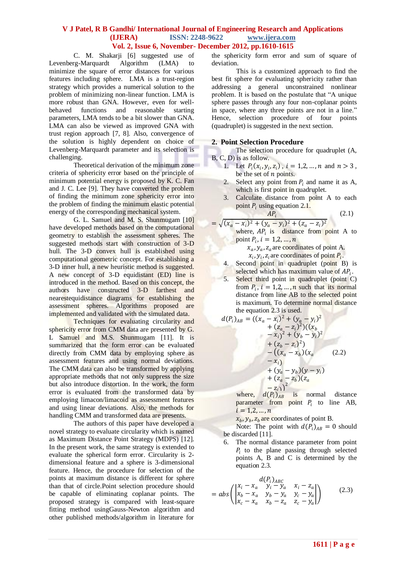C. M. Shakarji [6] suggested use of cre-Marquardt Algorithm (LMA) to Levenberg-Marquardt Algorithm (LMA) to minimize the square of error distances for various features including sphere. LMA is a trust-region strategy which provides a numerical solution to the problem of minimizing non-linear function. LMA is more robust than GNA. However, even for wellbehaved functions and reasonable starting parameters, LMA tends to be a bit slower than GNA. LMA can also be viewed as improved GNA with trust region approach [7, 8]. Also, convergence of the solution is highly dependent on choice of Levenberg-Marquardt parameter and its selection is challenging.

Theoretical derivation of the minimum zone criteria of sphericity error based on the principle of minimum potential energy is proposed by K. C. Fan and J. C. Lee [9]. They have converted the problem of finding the minimum zone sphericity error into the problem of finding the minimum elastic potential energy of the corresponding mechanical system.

G. L. Samuel and M. S. Shunmugam [10] have developed methods based on the computational geometry to establish the assessment spheres. The suggested methods start with construction of 3-D hull. The 3-D convex hull is established using computational geometric concept. For establishing a 3-D inner hull, a new heuristic method is suggested. A new concept of 3-D equidistant (ED) line is introduced in the method. Based on this concept, the authors have constructed 3-D farthest and nearestequidistance diagrams for establishing the assessment spheres. Algorithms proposed are implemented and validated with the simulated data.

Techniques for evaluating circularity and sphericity error from CMM data are presented by G. L Samuel and M.S. Shunmugam [11]. It is summarized that the form error can be evaluated directly from CMM data by employing sphere as assessment features and using normal deviations. The CMM data can also be transformed by applying appropriate methods that not only suppress the size but also introduce distortion. In the work, the form error is evaluated from the transformed data by employing limacon/limacoid as assessment features and using linear deviations. Also, the methods for handling CMM and transformed data are presents.

The authors of this paper have developed a novel strategy to evaluate circularity which is named as Maximum Distance Point Strategy (MDPS) [12]. In the present work, the same strategy is extended to evaluate the spherical form error. Circularity is 2 dimensional feature and a sphere is 3-dimensional feature. Hence, the procedure for selection of the points at maximum distance is different for sphere than that of circle.Point selection procedure should be capable of eliminating coplanar points. The proposed strategy is compared with least-square fitting method usingGauss-Newton algorithm and other published methods/algorithm in literature for

the sphericity form error and sum of square of deviation.

This is a customized approach to find the best fit sphere for evaluating sphericity rather than addressing a general unconstrained nonlinear problem. It is based on the postulate that "A unique sphere passes through any four non-coplanar points in space, where any three points are not in a line." Hence, selection procedure of four points (quadruplet) is suggested in the next section.

# **2. Point Selection Procedure**

The selection procedure for quadruplet (A, B, C, D) is as follow.

- 1. Let  $P_i(x_i, y_i, z_i)$ ,  $i = 1, 2, ..., n$  and  $n > 3$ , be the set of  $n$  points.
- 2. Select any point from  $P_i$  and name it as A, which is first point in quadruplet.
- 3. Calculate distance from point A to each point  $P_i$  using equation 2.1.  $AP_i$

$$
(2.1)
$$

- $= \sqrt{(x_a x_i)^2 + (y_a y_i)^2 + (z_a z_i)^2}$ where,  $AP_i$  is distance from point A to point  $P_i$ ,  $i = 1, 2, ..., n$ 
	- $x_a$ ,  $y_a$ ,  $z_a$  are coordinates of point A.  $x_i$ ,  $y_i$ ,  $z_i$  are coordinates of point  $P_i$ .
	- 4. Second point in quadruplet (point B) is selected which has maximum value of  $AP_i$ .
	- 5. Select third point in quadruplet (point C) from  $P_i$ ,  $i = 1,2,...,n$  such that its normal distance from line AB to the selected point is maximum. To determine normal distance the equation 2.3 is used. **The County of the County**

$$
d(P_i)_{AB} = ((x_a - x_i)^2 + (y_a - y_i)^2
$$
  
+  $(z_a - z_i)^2)((x_b - x_i)^2 + (y_b - y_i)^2$   
+  $(z_b - z_i)^2$ )  
+  $(z_b - z_i)^2$ )  
-  $((x_a - x_b)(x_a - (2.2) - x_i)$   
+  $(y_a - y_b)(y - y_i)$   
+  $(z_a - z_b)(z_a - z_b)(z_a - z_a)$ 

where,  $d(P_i)_{AB}$  is normal distance parameter from point  $P_i$  to line AB,  $i = 1, 2, ..., n$ 

 $x_b$ ,  $y_b$ ,  $z_b$  are coordinates of point B.

Note: The point with  $d(P_i)_{AB} = 0$  should be discarded [11].

6. The normal distance parameter from point  $P_i$  to the plane passing through selected points A, B and C is determined by the equation 2.3.

$$
= abs \begin{pmatrix} d(P_i)_{ABC} \\ x_i - x_a & y_i - y_a & x_i - z_a \\ x_b - x_a & y_b - y_a & y_c - y_a \\ x_c - x_a & x_b - z_a & z_c - y_a \end{pmatrix}
$$
 (2.3)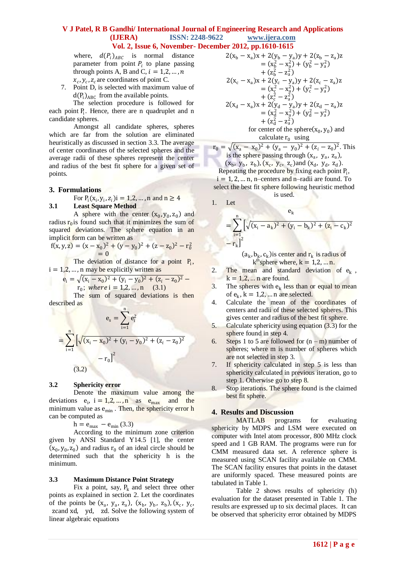where,  $d(P_i)_{ABC}$  is normal distance parameter from point  $P_i$  to plane passing through points A, B and C,  $i = 1, 2, ..., n$  $x_c$ ,  $y_c$ ,  $z_c$  are coordinates of point C.

7. Point D, is selected with maximum value of  $d(P_i)_{ABC}$  from the available points.

The selection procedure is followed for each point P<sub>i</sub>. Hence, there are n quadruplet and n candidate spheres.

Amongst all candidate spheres, spheres which are far from the solution are eliminated heuristically as discussed in section 3.3. The average of center coordinates of the selected spheres and the average radii of these spheres represent the center and radius of the best fit sphere for a given set of points.

# **3. Formulations**

For  $P_i(x_i, y_i, z_i)$  = 1,2, ..., n and n  $\geq 4$ **3.1 Least Square Method**

A sphere with the center  $(x_0, y_0, z_0)$  and radius  $r_0$  is found such that it minimizes the sum of squared deviations. The sphere equation in an implicit form can be written as

$$
f(x, y, z) = (x - x0)2 + (y - y0)2 + (z - z0)2 - r02
$$
  
= 0

The deviation of distance for a point  $P_i$ ,  $i = 1, 2, \dots, n$  may be explicitly written as

$$
e_i = \sqrt{(x_i - x_0)^2 + (y_i - y_0)^2 + (z_i - z_0)^2} -
$$

$$
r_0
$$
; where i = 1,2,...,n (3.1)

The sum of squared deviations is then described as

$$
e_s = \sum_{i=1}^{n} e_i^2
$$
  
= 
$$
\sum_{i=1}^{n} \left[ \sqrt{(x_i - x_0)^2 + (y_i - y_0)^2 + (z_i - z_0)^2} - r_0 \right]^2
$$
  
(3.2)

#### **3.2 Sphericity error**

Denote the maximum value among the deviations  $e_i$ ,  $i = 1, 2, ..., n$  as  $e_{max}$  and the minimum value as  $e_{\min}$ . Then, the sphericity error h can be computed as

 $h = e_{max} - e_{min}(3.3)$ 

According to the minimum zone criterion given by ANSI Standard Y14.5 [1], the center  $(x_0, y_0, z_0)$  and radius  $r_0$  of an ideal circle should be determined such that the sphericity h is the minimum.

#### **3.3 Maximum Distance Point Strategy**

Fix a point, say,  $P_k$  and select three other points as explained in section 2. Let the coordinates of the points be  $(x_a, y_a, z_a)$ ,  $(x_b, y_b, z_b)$ ,  $(x_c, y_c)$  zcand xd, yd, zd. Solve the following system of linear algebraic equations

$$
2(x_b - x_a)x + 2(y_b - y_a)y + 2(z_b - z_a)z
$$
  
\n
$$
= (x_b^2 - x_a^2) + (y_b^2 - y_a^2)
$$
  
\n
$$
+ (z_b^2 - z_a^2)
$$
  
\n
$$
2(x_c - x_a)x + 2(y_c - y_a)y + 2(z_c - z_a)z
$$
  
\n
$$
= (x_c^2 - x_a^2) + (y_c^2 - y_a^2)
$$
  
\n
$$
+ (z_c^2 - z_a^2)
$$
  
\n
$$
2(x_d - x_a)x + 2(y_d - y_a)y + 2(z_d - z_a)z
$$
  
\n
$$
= (x_d^2 - x_a^2) + (y_d^2 - y_a^2)
$$
  
\n
$$
+ (z_a^2 - z_a^2)
$$
  
\nfor correct terms of the sphere (x, y) and

for center of the sphere(
$$
x_0
$$
,  $y_0$ ) and calculate  $r_0$  using

$$
r_0 = \sqrt{(x_a - x_0)^2 + (y_a - y_0)^2 + (z_i - z_0)^2}.
$$
 This  
is the sphere passing through  $(x_a, y_a, z_a)$ ,  
 $(x_b, y_b, z_b)$ ,  $(x_c, y_c, z_c)$  and  $(x_d, y_d, z_d)$ .

Repeating the procedure by fixing each point  $P_i$ ,  $i = 1, 2, \dots n$ , n–centers and n–radii are found. To select the best fit sphere following heuristic method is used.

1. Let

$$
= \sum_{i=1}^{n} \left[ \sqrt{(x_i - a_k)^2 + (y_i - b_k)^2 + (z_i - c_k)^2} - r_k \right]^2
$$

 $(a_k, b_k, c_k)$  is center and  $r_k$  is radius of  $k<sup>th</sup>$ sphere where,  $k = 1, 2, ... n$ .

- 2. The mean and standard deviation of  $e_k$ ,  $k = 1, 2, \dots n$  are found.
- 3. The spheres with  $e_k$  less than or equal to mean of  $e_k$ ,  $k = 1,2,...$  n are selected.
- 4. Calculate the mean of the coordinates of centers and radii of these selected spheres. This gives center and radius of the best fit sphere.
- 5. Calculate sphericity using equation (3.3) for the sphere found in step 4.
- 6. Steps 1 to 5 are followed for  $(n m)$  number of spheres; where m is number of spheres which are not selected in step 3.
- 7. If sphericity calculated in step 5 is less than sphericity calculated in previous iteration, go to step 1. Otherwise go to step 8.
- 8. Stop iterations. The sphere found is the claimed best fit sphere.

#### **4. Results and Discussion**

MATLAB programs for evaluating sphericity by MDPS and LSM were executed on computer with Intel atom processor, 800 MHz clock speed and 1 GB RAM. The programs were run for CMM measured data set. A reference sphere is measured using SCAN facility available on CMM. The SCAN facility ensures that points in the dataset are uniformly spaced. These measured points are tabulated in Table 1.

Table 2 shows results of sphericity (h) evaluation for the dataset presented in Table 1. The results are expressed up to six decimal places. It can be observed that sphericity error obtained by MDPS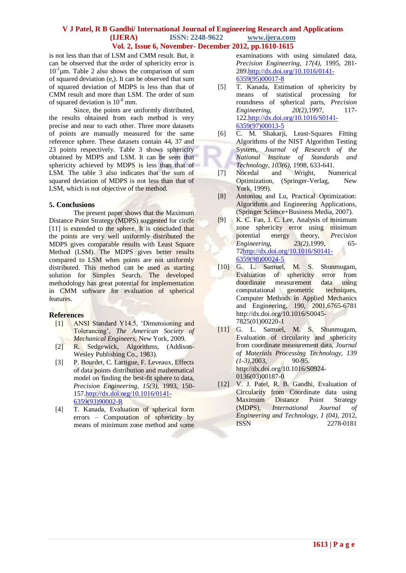is not less than that of LSM and CMM result. But, it can be observed that the order of sphericity error is  $10^{-2}$  $\mu$ m. Table 2 also shows the comparison of sum of squared deviation  $(e_s)$ . It can be observed that sum of squared deviation of MDPS is less than that of CMM result and more than LSM. The order of sum of squared deviation is 10-8 mm.

Since, the points are uniformly distributed, the results obtained from each method is very precise and near to each other. Three more datasets of points are manually measured for the same reference sphere. These datasets contain 44, 37 and 23 points respectively. Table 3 shows sphericity obtained by MDPS and LSM. It can be seen that sphericity achieved by MDPS is less than that of LSM. The table 3 also indicates that the sum of squared deviation of MDPS is not less than that of LSM, which is not objective of the method.

# **5. Conclusions**

The present paper shows that the Maximum Distance Point Strategy (MDPS) suggested for circle [11] is extended to the sphere. It is concluded that the points are very well uniformly distributed the MDPS gives comparable results with Least Square Method (LSM). The MDPS gives better results compared to LSM when points are not uniformly distributed. This method can be used as starting solution for Simplex Search. The developed methodology has great potential for implementation in CMM software for evaluation of spherical features.

# **References**

- [1] ANSI Standard Y14.5, "Dimensioning and Tolerancing", *The American Society of Mechanical Engineers*, New York, 2009.
- [2] R. Sedgewick, Algorithms, (Addison-Wesley Publishing Co., 1983).
- [3] P. Bourdet, C. Lartigue, F. Leveaux, Effects of data points distribution and mathematical model on finding the best-fit sphere to data, *Precision Engineering, 15(3),* 1993, 150- 15[7.http://dx.doi.org/10.1016/0141-](http://dx.doi.org/10.1016/0141-6359(93)90002-R) [6359\(93\)90002-R](http://dx.doi.org/10.1016/0141-6359(93)90002-R)
- [4] T. Kanada, Evaluation of spherical form errors – Computation of sphericity by means of minimum zone method and some

examinations with using simulated data, *Precision Engineering, 17(4),* 1995, 281- 289[.http://dx.doi.org/10.1016/0141-](http://dx.doi.org/10.1016/0141-6359(95)00017-8) [6359\(95\)00017-8](http://dx.doi.org/10.1016/0141-6359(95)00017-8)

- [5] T. Kanada, Estimation of sphericity by means of statistical processing for roundness of spherical parts, *Precision Engineering,* 20(2), 1997, 117-122[.http://dx.doi.org/10.1016/S0141-](http://dx.doi.org/10.1016/S0141-6359(97)00013-5) [6359\(97\)00013-5](http://dx.doi.org/10.1016/S0141-6359(97)00013-5)
- [6] C. M. Shakarji, Least-Squares Fitting Algorithms of the NIST Algorithm Testing System*, Journal of Research of the National Institute of Standards and Technology, 103(6)*, 1998, 633-641.
- [7] Nocedal and Wright, Numerical Optimization, (Springer-Verlag, New York, 1999).
- [8] Antoniou and Lu, Practical Optimization: Algorithms and Engineering Applications, (Springer Science+Business Media, 2007).
- [9] K. C. Fan, J. C. Lee, Analysis of minimum zone sphericity error using minimum potential energy theory, *Precision Engineering, 23(2),*1999, 65- 7[2http://dx.doi.org/10.1016/S0141-](http://dx.doi.org/10.1016/S0141-6359(98)00024-5) [6359\(98\)00024-5](http://dx.doi.org/10.1016/S0141-6359(98)00024-5)
- [10] G. L. Samuel, M. S. Shunmugam, Evaluation of sphericity error from doordinate measurement data using computational geometric techniques, Computer Methods in Applied Mechanics and Engineering, 190, 2001,6765-6781 [http://dx.doi.org/10.1016/S0045-](http://dx.doi.org/10.1016/S0045-7825(01)00220-1) [7825\(01\)00220-1](http://dx.doi.org/10.1016/S0045-7825(01)00220-1)
- [11] G. L. Samuel, M. S. Shunmugam, Evaluation of circularity and sphericity from coordinate measurement data, *Journal of Materials Processing Technology, 139 (1-3),*2003, 90-95. [http://dx.doi.org/10.1016/S0924-](http://dx.doi.org/10.1016/S0924-0136(03)00187-0) [0136\(03\)00187-0](http://dx.doi.org/10.1016/S0924-0136(03)00187-0)
- [12] V. J. Patel, R. B. Gandhi, Evaluation of Circularity from Coordinate data using Maximum Distance Point Strategy (MDPS), *International Journal of Engineering and Technology, 1 (04)*, 2012, ISSN 2278-0181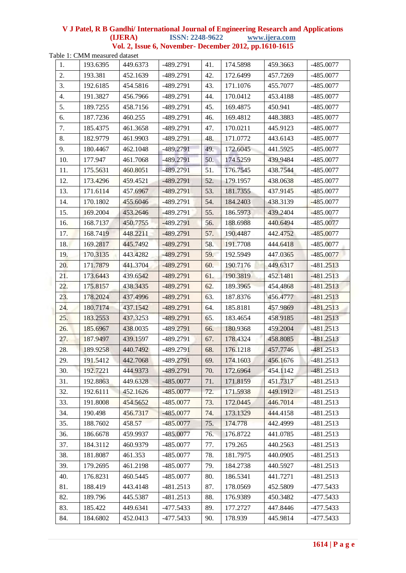Table 1: CMM measured dataset

| 1.  | 193.6395 | 449.6373 | -489.2791   | 41. | 174.5898 | 459.3663 | $-485.0077$ |
|-----|----------|----------|-------------|-----|----------|----------|-------------|
| 2.  | 193.381  | 452.1639 | -489.2791   | 42. | 172.6499 | 457.7269 | $-485.0077$ |
| 3.  | 192.6185 | 454.5816 | -489.2791   | 43. | 171.1076 | 455.7077 | $-485.0077$ |
| 4.  | 191.3827 | 456.7966 | -489.2791   | 44. | 170.0412 | 453.4188 | -485.0077   |
| 5.  | 189.7255 | 458.7156 | -489.2791   | 45. | 169.4875 | 450.941  | $-485.0077$ |
| 6.  | 187.7236 | 460.255  | -489.2791   | 46. | 169.4812 | 448.3883 | $-485.0077$ |
| 7.  | 185.4375 | 461.3658 | -489.2791   | 47. | 170.0211 | 445.9123 | $-485.0077$ |
| 8.  | 182.9779 | 461.9903 | -489.2791   | 48. | 171.0772 | 443.6143 | $-485.0077$ |
| 9.  | 180.4467 | 462.1048 | $-489.2791$ | 49. | 172.6045 | 441.5925 | -485.0077   |
| 10. | 177.947  | 461.7068 | $-489.2791$ | 50. | 174.5259 | 439.9484 | $-485.0077$ |
| 11. | 175.5631 | 460.8051 | -489.2791   | 51. | 176.7545 | 438.7544 | -485.0077   |
| 12. | 173.4296 | 459.4521 | -489.2791   | 52. | 179.1957 | 438.0638 | $-485.0077$ |
| 13. | 171.6114 | 457.6967 | $-489.2791$ | 53. | 181.7355 | 437.9145 | -485.0077   |
| 14. | 170.1802 | 455.6046 | $-489.2791$ | 54. | 184.2403 | 438.3139 | $-485.0077$ |
| 15. | 169.2004 | 453.2646 | -489.2791   | 55. | 186.5973 | 439.2404 | $-485.0077$ |
| 16. | 168.7137 | 450.7755 | $-489.2791$ | 56. | 188.6988 | 440.6494 | $-485.0077$ |
| 17. | 168.7419 | 448.2211 | -489.2791   | 57. | 190.4487 | 442.4752 | $-485.0077$ |
| 18. | 169.2817 | 445.7492 | -489.2791   | 58. | 191.7708 | 444.6418 | $-485.0077$ |
| 19. | 170.3135 | 443.4282 | $-489.2791$ | 59. | 192.5949 | 447.0365 | $-485.0077$ |
| 20. | 171.7879 | 441.3704 | $-489.2791$ | 60. | 190.7176 | 449.6317 | $-481.2513$ |
| 21. | 173.6443 | 439.6542 | -489.2791   | 61. | 190.3819 | 452.1481 | $-481.2513$ |
| 22. | 175.8157 | 438.3435 | -489.2791   | 62. | 189.3965 | 454.4868 | $-481.2513$ |
| 23. | 178.2024 | 437.4996 | -489.2791   | 63. | 187.8376 | 456.4777 | $-481.2513$ |
| 24. | 180.7174 | 437.1542 | -489.2791   | 64. | 185.8181 | 457.9869 | $-481.2513$ |
| 25. | 183.2553 | 437.3253 | -489.2791   | 65. | 183.4654 | 458.9185 | $-481.2513$ |
| 26. | 185.6967 | 438.0035 | $-489.2791$ | 66. | 180.9368 | 459.2004 | $-481.2513$ |
| 27. | 187.9497 | 439.1597 | -489.2791   | 67. | 178.4324 | 458.8085 | $-481.2513$ |
| 28. | 189.9258 | 440.7492 | -489.2791   | 68. | 176.1218 | 457.7746 | $-481.2513$ |
| 29. | 191.5412 | 442.7068 | -489.2791   | 69. | 174.1603 | 456.1676 | $-481.2513$ |
| 30. | 192.7221 | 444.9373 | $-489.2791$ | 70. | 172.6964 | 454.1142 | $-481.2513$ |
| 31. | 192.8863 | 449.6328 | $-485.0077$ | 71. | 171.8159 | 451.7317 | $-481.2513$ |
| 32. | 192.6111 | 452.1626 | $-485.0077$ | 72. | 171.5938 | 449.1912 | $-481.2513$ |
| 33. | 191.8008 | 454.5652 | $-485.0077$ | 73. | 172.0445 | 446.7014 | $-481.2513$ |
| 34. | 190.498  | 456.7317 | $-485.0077$ | 74. | 173.1329 | 444.4158 | $-481.2513$ |
| 35. | 188.7602 | 458.57   | $-485.0077$ | 75. | 174.778  | 442.4999 | $-481.2513$ |
| 36. | 186.6678 | 459.9937 | $-485.0077$ | 76. | 176.8722 | 441.0785 | $-481.2513$ |
| 37. | 184.3112 | 460.9379 | $-485.0077$ | 77. | 179.265  | 440.2563 | $-481.2513$ |
| 38. | 181.8087 | 461.353  | $-485.0077$ | 78. | 181.7975 | 440.0905 | $-481.2513$ |
| 39. | 179.2695 | 461.2198 | $-485.0077$ | 79. | 184.2738 | 440.5927 | $-481.2513$ |
| 40. | 176.8231 | 460.5445 | -485.0077   | 80. | 186.5341 | 441.7271 | $-481.2513$ |
| 81. | 188.419  | 443.4148 | $-481.2513$ | 87. | 178.0569 | 452.5809 | $-477.5433$ |
| 82. | 189.796  | 445.5387 | $-481.2513$ | 88. | 176.9389 | 450.3482 | -477.5433   |
| 83. | 185.422  | 449.6341 | -477.5433   | 89. | 177.2727 | 447.8446 | $-477.5433$ |
| 84. | 184.6802 | 452.0413 | -477.5433   | 90. | 178.939  | 445.9814 | $-477.5433$ |